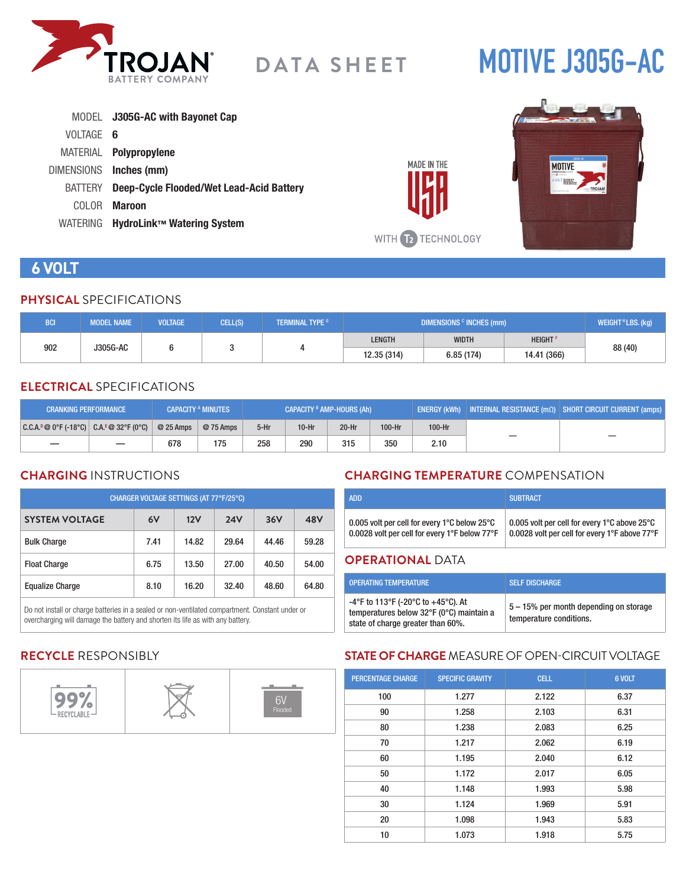

# **MOTIVE J305G-AC**

|           | MODEL J305G-AC with Bayonet Cap          |
|-----------|------------------------------------------|
| VOLTAGE 6 |                                          |
|           | MATERIAL <b>Polypropylene</b>            |
|           | DIMENSIONS Inches (mm)                   |
| BATTERY   | Deep-Cycle Flooded/Wet Lead-Acid Battery |
| COLOR.    | <b>Maroon</b>                            |
| WATERING  | HydroLink™ Watering System               |





# **6 VOLT**

#### **PHYSICAL** SPECIFICATIONS

| <b>BCI</b>      | <b>MODEL NAME</b> | <b>VOLTAGE</b> | CELL(S) | <b>TERMINAL TYPE G</b> | DIMENSIONS <sup>c</sup> INCHES (mm) |               |             | WEIGHT <sup>H</sup> LBS. (kg) |
|-----------------|-------------------|----------------|---------|------------------------|-------------------------------------|---------------|-------------|-------------------------------|
| J305G-AC<br>902 |                   |                |         | <b>LENGTH</b>          | <b>WIDTH</b>                        | <b>HEIGHT</b> |             |                               |
|                 |                   |                |         |                        | 12.35 (314)                         | 6.85(174)     | 14.41 (366) | 88 (40)                       |

#### **ELECTRICAL** SPECIFICATIONS

| <b>CRANKING PERFORMANCE</b>                  |                          |            | <b>CAPACITY A MINUTES</b> | CAPACITY <sup>B</sup> AMP-HOURS (Ah) |         |         | ! ENERGY (kWh)   INTERNAL RESISTANCE (mΩ)   SHORT CIRCUIT CURRENT (amps) |        |  |
|----------------------------------------------|--------------------------|------------|---------------------------|--------------------------------------|---------|---------|--------------------------------------------------------------------------|--------|--|
| $ C.C.A.^p@0^cF(-18^cC) C.A.^E@32^cF(0^cC) $ |                          | $@25$ Amps | @ 75 Amps                 | $5-Hr$                               | $10-Hr$ | $20-Hr$ | 100-Hr                                                                   | 100-Hr |  |
|                                              | $\overline{\phantom{m}}$ | 678        | 175                       | 258                                  | 290     | 315     | 350                                                                      | 2.10   |  |

# **CHARGING** INSTRUCTIONS

| CHARGER VOLTAGE SETTINGS (AT 77°F/25°C) |      |       |            |       |       |  |  |
|-----------------------------------------|------|-------|------------|-------|-------|--|--|
| <b>SYSTEM VOLTAGE</b>                   | 6V   | 12V   | <b>24V</b> | 36V   | 48V   |  |  |
| <b>Bulk Charge</b>                      | 7.41 | 14.82 | 29.64      | 44.46 | 59.28 |  |  |
| <b>Float Charge</b>                     | 6.75 | 13.50 | 27.00      | 40.50 | 54.00 |  |  |
| <b>Equalize Charge</b>                  | 8.10 | 16.20 | 32.40      | 48.60 | 64.80 |  |  |

Do not install or charge batteries in a sealed or non-ventilated compartment. Constant under or overcharging will damage the battery and shorten its life as with any battery.

# **CHARGING TEMPERATURE** COMPENSATION

|                                               | <b>SUBTRACT</b>                               |
|-----------------------------------------------|-----------------------------------------------|
| 0.005 volt per cell for every 1°C below 25°C  | 0.005 volt per cell for every 1°C above 25°C  |
| 0.0028 volt per cell for every 1°F below 77°F | 0.0028 volt per cell for every 1°F above 77°F |

#### **OPERATIONAL** DATA

| <b>OPERATING TEMPERATURE</b>                                                                                        | <b>SELF DISCHARGE</b>                                             |
|---------------------------------------------------------------------------------------------------------------------|-------------------------------------------------------------------|
| -4°F to 113°F (-20°C to +45°C). At<br>temperatures below 32°F (0°C) maintain a<br>state of charge greater than 60%. | 5 – 15% per month depending on storage<br>temperature conditions. |

# **RECYCLE** RESPONSIBLY



# **STATE OF CHARGE** MEASURE OF OPEN-CIRCUIT VOLTAGE

| <b>PERCENTAGE CHARGE</b> | <b>SPECIFIC GRAVITY</b> | <b>CELL</b> | 6 VOLT |
|--------------------------|-------------------------|-------------|--------|
| 100                      | 1.277                   | 2.122       | 6.37   |
| 90                       | 1.258                   | 2.103       | 6.31   |
| 80                       | 1.238                   | 2.083       | 6.25   |
| 70                       | 1.217                   | 2.062       | 6.19   |
| 60                       | 1.195                   | 2.040       | 6.12   |
| 50                       | 1.172                   | 2.017       | 6.05   |
| 40                       | 1.148                   | 1.993       | 5.98   |
| 30                       | 1.124                   | 1.969       | 5.91   |
| 20                       | 1.098                   | 1.943       | 5.83   |
| 10                       | 1.073                   | 1.918       | 5.75   |